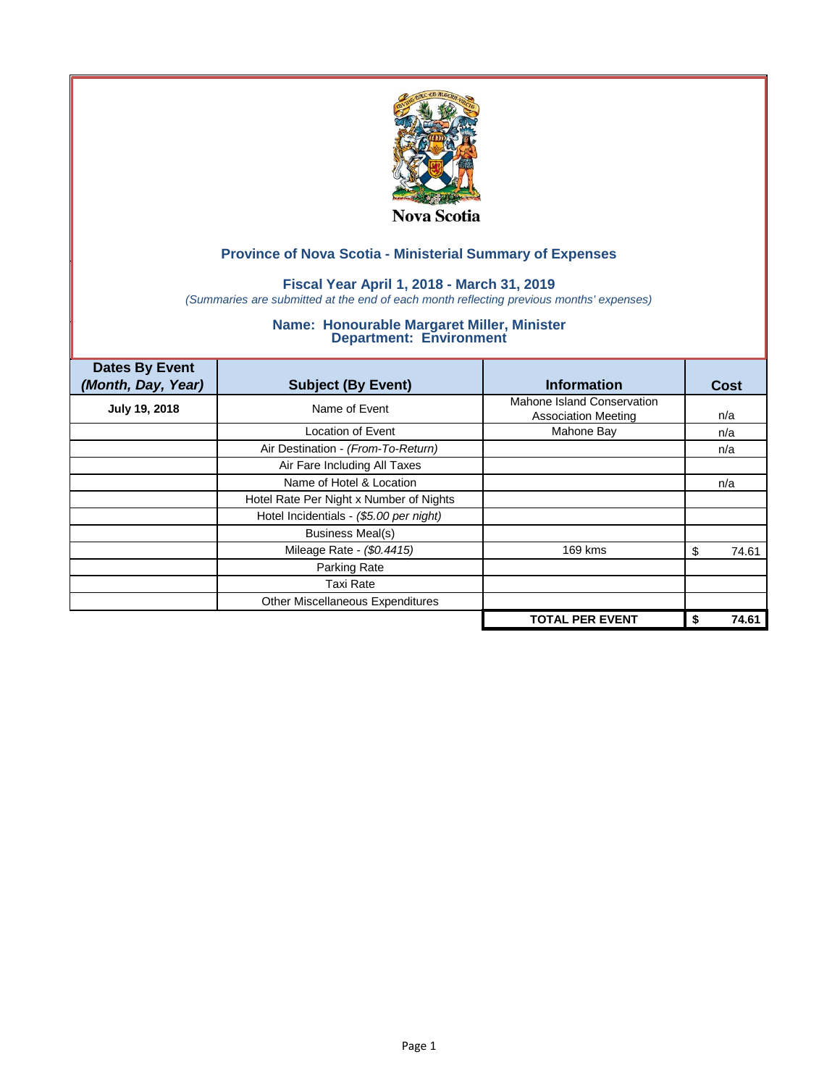

## **Fiscal Year April 1, 2018 - March 31, 2019**

*(Summaries are submitted at the end of each month reflecting previous months' expenses)*

| <b>Dates By Event</b><br>(Month, Day, Year) | <b>Subject (By Event)</b>               | <b>Information</b>                                       | Cost       |
|---------------------------------------------|-----------------------------------------|----------------------------------------------------------|------------|
| <b>July 19, 2018</b>                        | Name of Event                           | Mahone Island Conservation<br><b>Association Meeting</b> | n/a        |
|                                             | Location of Event                       | Mahone Bay                                               | n/a        |
|                                             | Air Destination - (From-To-Return)      |                                                          | n/a        |
|                                             | Air Fare Including All Taxes            |                                                          |            |
|                                             | Name of Hotel & Location                |                                                          | n/a        |
|                                             | Hotel Rate Per Night x Number of Nights |                                                          |            |
|                                             | Hotel Incidentials - (\$5.00 per night) |                                                          |            |
|                                             | <b>Business Meal(s)</b>                 |                                                          |            |
|                                             | Mileage Rate - (\$0.4415)               | 169 kms                                                  | 74.61<br>S |
|                                             | Parking Rate                            |                                                          |            |
|                                             | Taxi Rate                               |                                                          |            |
|                                             | Other Miscellaneous Expenditures        |                                                          |            |
|                                             |                                         | <b>TOTAL PER EVENT</b>                                   | 74.61      |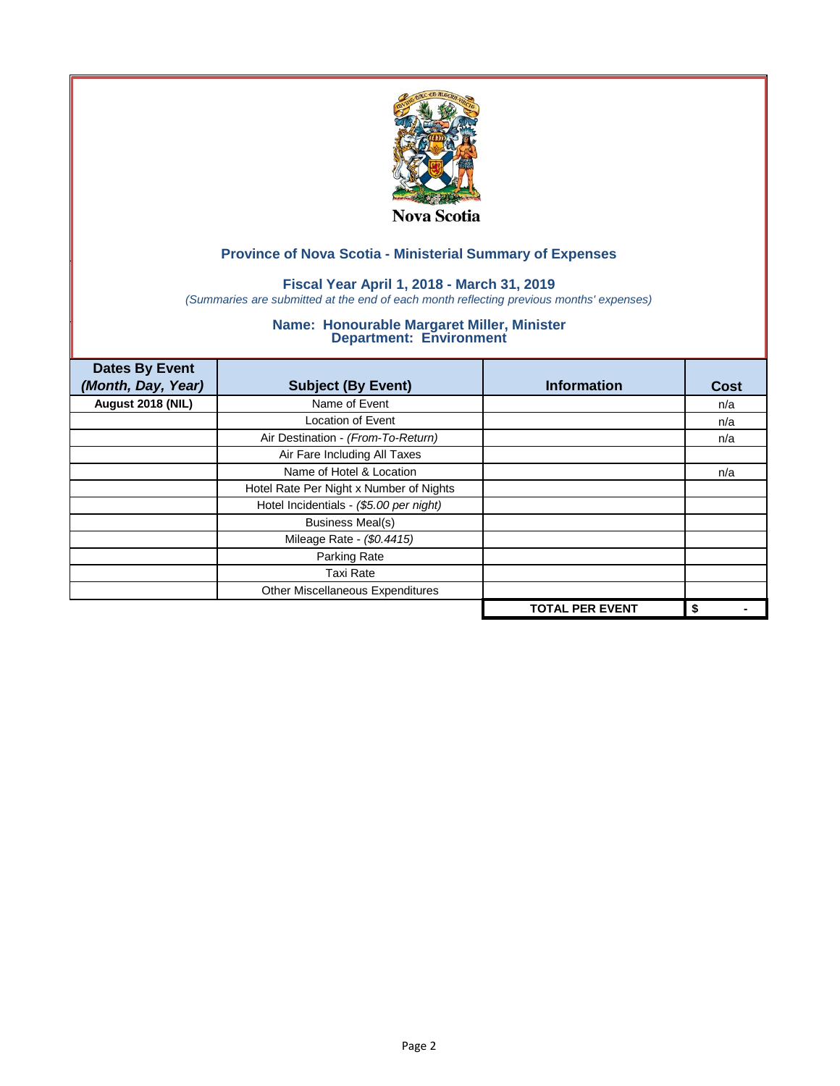

### **Fiscal Year April 1, 2018 - March 31, 2019**

*(Summaries are submitted at the end of each month reflecting previous months' expenses)*

| <b>Dates By Event</b><br>(Month, Day, Year) | <b>Subject (By Event)</b>               | <b>Information</b>     | <b>Cost</b> |
|---------------------------------------------|-----------------------------------------|------------------------|-------------|
| August 2018 (NIL)                           | Name of Event                           |                        | n/a         |
|                                             | <b>Location of Event</b>                |                        | n/a         |
|                                             | Air Destination - (From-To-Return)      |                        | n/a         |
|                                             | Air Fare Including All Taxes            |                        |             |
|                                             | Name of Hotel & Location                |                        | n/a         |
|                                             | Hotel Rate Per Night x Number of Nights |                        |             |
|                                             | Hotel Incidentials - (\$5.00 per night) |                        |             |
|                                             | <b>Business Meal(s)</b>                 |                        |             |
|                                             | Mileage Rate - (\$0.4415)               |                        |             |
|                                             | Parking Rate                            |                        |             |
|                                             | Taxi Rate                               |                        |             |
|                                             | Other Miscellaneous Expenditures        |                        |             |
|                                             |                                         | <b>TOTAL PER EVENT</b> | \$          |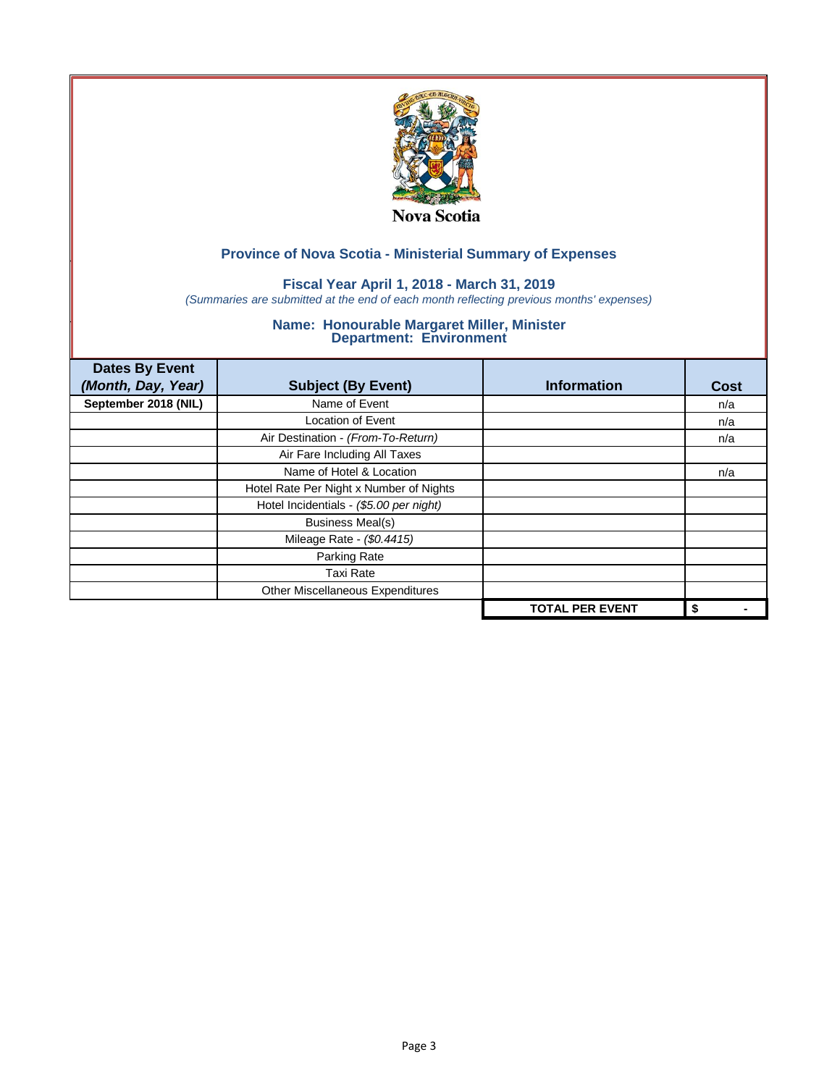

## **Fiscal Year April 1, 2018 - March 31, 2019**

*(Summaries are submitted at the end of each month reflecting previous months' expenses)*

| <b>Dates By Event</b> |                                         |                        |      |
|-----------------------|-----------------------------------------|------------------------|------|
| (Month, Day, Year)    | <b>Subject (By Event)</b>               | <b>Information</b>     | Cost |
| September 2018 (NIL)  | Name of Event                           |                        | n/a  |
|                       | <b>Location of Event</b>                |                        | n/a  |
|                       | Air Destination - (From-To-Return)      |                        | n/a  |
|                       | Air Fare Including All Taxes            |                        |      |
|                       | Name of Hotel & Location                |                        | n/a  |
|                       | Hotel Rate Per Night x Number of Nights |                        |      |
|                       | Hotel Incidentials - (\$5.00 per night) |                        |      |
|                       | <b>Business Meal(s)</b>                 |                        |      |
|                       | Mileage Rate - (\$0.4415)               |                        |      |
|                       | Parking Rate                            |                        |      |
|                       | Taxi Rate                               |                        |      |
|                       | Other Miscellaneous Expenditures        |                        |      |
|                       |                                         | <b>TOTAL PER EVENT</b> | \$   |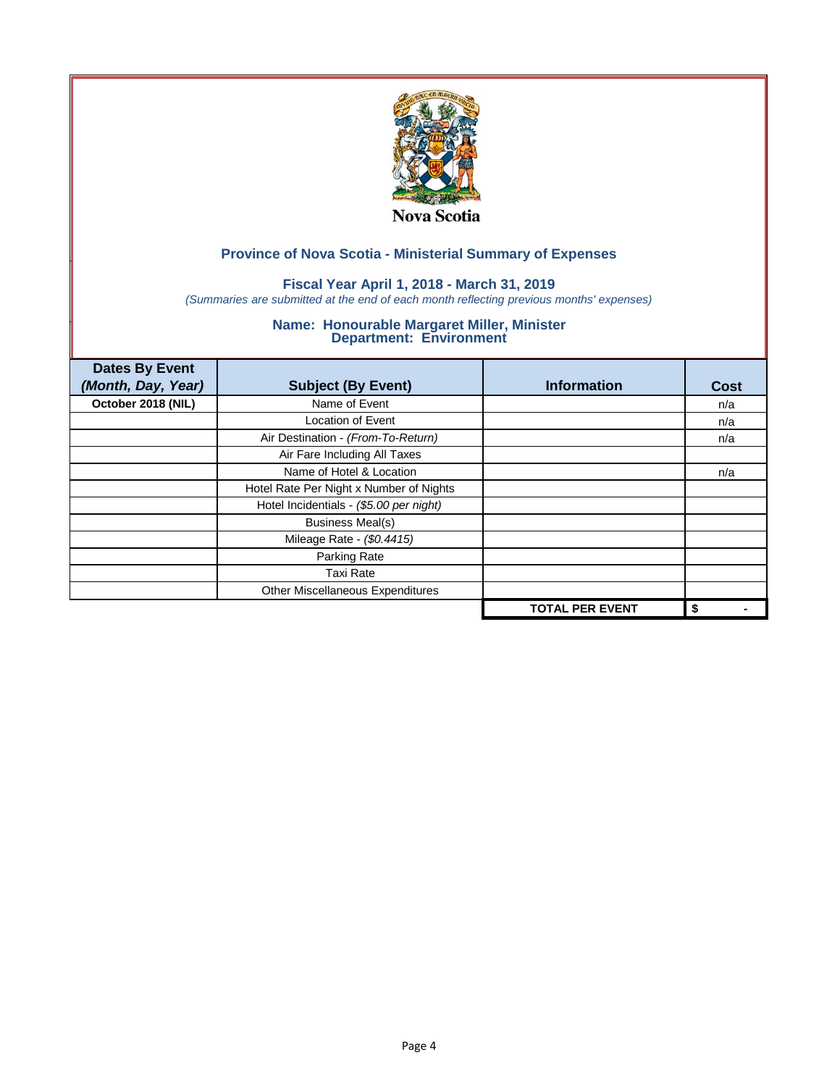

## **Fiscal Year April 1, 2018 - March 31, 2019**

*(Summaries are submitted at the end of each month reflecting previous months' expenses)*

| <b>Dates By Event</b> |                                         |                        |      |
|-----------------------|-----------------------------------------|------------------------|------|
| (Month, Day, Year)    | <b>Subject (By Event)</b>               | <b>Information</b>     | Cost |
| October 2018 (NIL)    | Name of Event                           |                        | n/a  |
|                       | <b>Location of Event</b>                |                        | n/a  |
|                       | Air Destination - (From-To-Return)      |                        | n/a  |
|                       | Air Fare Including All Taxes            |                        |      |
|                       | Name of Hotel & Location                |                        | n/a  |
|                       | Hotel Rate Per Night x Number of Nights |                        |      |
|                       | Hotel Incidentials - (\$5.00 per night) |                        |      |
|                       | <b>Business Meal(s)</b>                 |                        |      |
|                       | Mileage Rate - (\$0.4415)               |                        |      |
|                       | Parking Rate                            |                        |      |
|                       | Taxi Rate                               |                        |      |
|                       | Other Miscellaneous Expenditures        |                        |      |
|                       |                                         | <b>TOTAL PER EVENT</b> | \$   |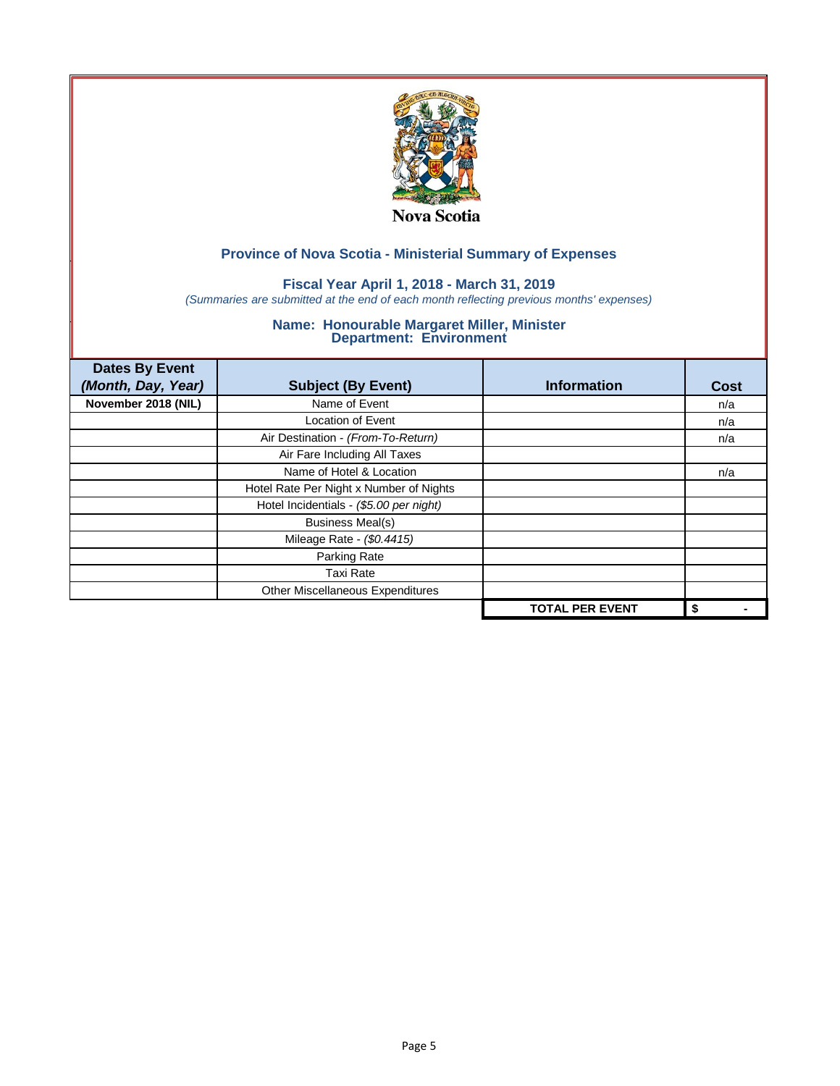

## **Fiscal Year April 1, 2018 - March 31, 2019**

*(Summaries are submitted at the end of each month reflecting previous months' expenses)*

| <b>Dates By Event</b> |                                         |                        |      |
|-----------------------|-----------------------------------------|------------------------|------|
| (Month, Day, Year)    | <b>Subject (By Event)</b>               | <b>Information</b>     | Cost |
| November 2018 (NIL)   | Name of Event                           |                        | n/a  |
|                       | <b>Location of Event</b>                |                        | n/a  |
|                       | Air Destination - (From-To-Return)      |                        | n/a  |
|                       | Air Fare Including All Taxes            |                        |      |
|                       | Name of Hotel & Location                |                        | n/a  |
|                       | Hotel Rate Per Night x Number of Nights |                        |      |
|                       | Hotel Incidentials - (\$5.00 per night) |                        |      |
|                       | <b>Business Meal(s)</b>                 |                        |      |
|                       | Mileage Rate - (\$0.4415)               |                        |      |
|                       | Parking Rate                            |                        |      |
|                       | <b>Taxi Rate</b>                        |                        |      |
|                       | Other Miscellaneous Expenditures        |                        |      |
|                       |                                         | <b>TOTAL PER EVENT</b> | \$   |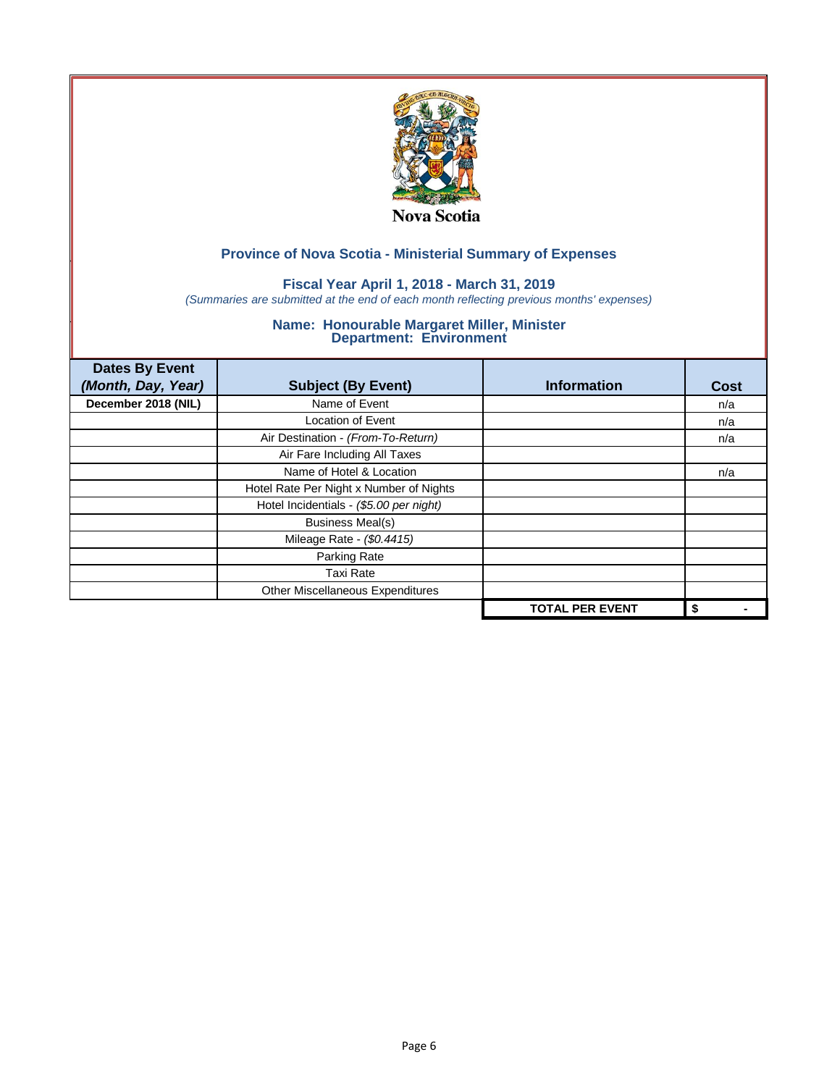

### **Fiscal Year April 1, 2018 - March 31, 2019**

*(Summaries are submitted at the end of each month reflecting previous months' expenses)*

| <b>Dates By Event</b><br>(Month, Day, Year) | <b>Subject (By Event)</b>               | <b>Information</b>     | <b>Cost</b> |
|---------------------------------------------|-----------------------------------------|------------------------|-------------|
| December 2018 (NIL)                         | Name of Event                           |                        | n/a         |
|                                             | <b>Location of Event</b>                |                        | n/a         |
|                                             | Air Destination - (From-To-Return)      |                        | n/a         |
|                                             | Air Fare Including All Taxes            |                        |             |
|                                             | Name of Hotel & Location                |                        | n/a         |
|                                             | Hotel Rate Per Night x Number of Nights |                        |             |
|                                             | Hotel Incidentials - (\$5.00 per night) |                        |             |
|                                             | <b>Business Meal(s)</b>                 |                        |             |
|                                             | Mileage Rate - (\$0.4415)               |                        |             |
|                                             | Parking Rate                            |                        |             |
|                                             | <b>Taxi Rate</b>                        |                        |             |
|                                             | Other Miscellaneous Expenditures        |                        |             |
|                                             |                                         | <b>TOTAL PER EVENT</b> | \$          |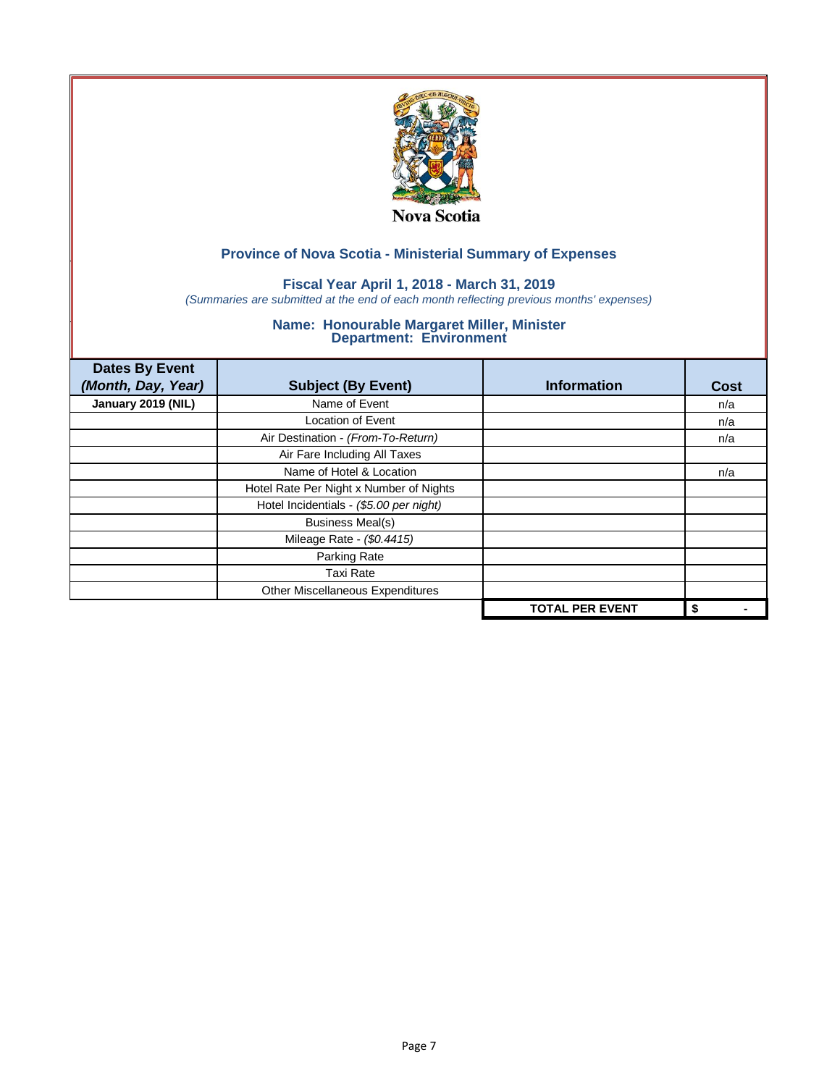

## **Fiscal Year April 1, 2018 - March 31, 2019**

*(Summaries are submitted at the end of each month reflecting previous months' expenses)*

| <b>Dates By Event</b> |                                         |                        |      |
|-----------------------|-----------------------------------------|------------------------|------|
| (Month, Day, Year)    | <b>Subject (By Event)</b>               | <b>Information</b>     | Cost |
| January 2019 (NIL)    | Name of Event                           |                        | n/a  |
|                       | <b>Location of Event</b>                |                        | n/a  |
|                       | Air Destination - (From-To-Return)      |                        | n/a  |
|                       | Air Fare Including All Taxes            |                        |      |
|                       | Name of Hotel & Location                |                        | n/a  |
|                       | Hotel Rate Per Night x Number of Nights |                        |      |
|                       | Hotel Incidentials - (\$5.00 per night) |                        |      |
|                       | <b>Business Meal(s)</b>                 |                        |      |
|                       | Mileage Rate - (\$0.4415)               |                        |      |
|                       | Parking Rate                            |                        |      |
|                       | Taxi Rate                               |                        |      |
|                       | Other Miscellaneous Expenditures        |                        |      |
|                       |                                         | <b>TOTAL PER EVENT</b> | \$   |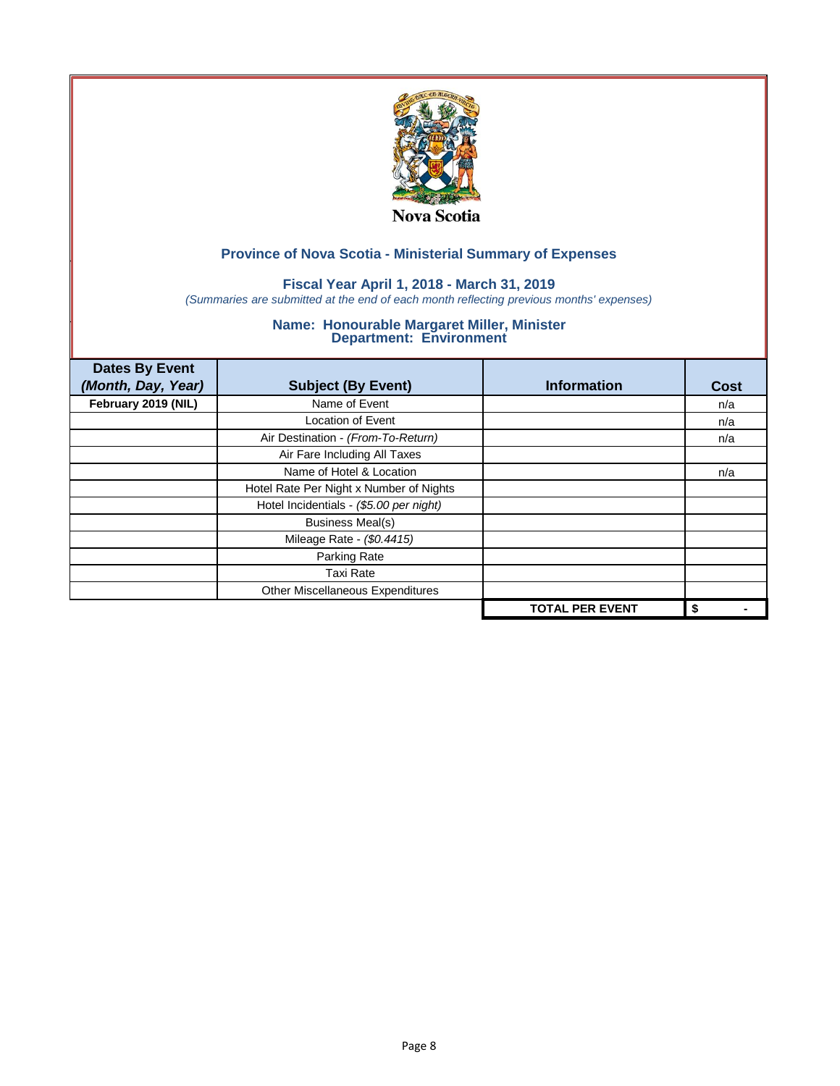

## **Fiscal Year April 1, 2018 - March 31, 2019**

*(Summaries are submitted at the end of each month reflecting previous months' expenses)*

| <b>Dates By Event</b> |                                         |                        |      |
|-----------------------|-----------------------------------------|------------------------|------|
| (Month, Day, Year)    | <b>Subject (By Event)</b>               | <b>Information</b>     | Cost |
| February 2019 (NIL)   | Name of Event                           |                        | n/a  |
|                       | <b>Location of Event</b>                |                        | n/a  |
|                       | Air Destination - (From-To-Return)      |                        | n/a  |
|                       | Air Fare Including All Taxes            |                        |      |
|                       | Name of Hotel & Location                |                        | n/a  |
|                       | Hotel Rate Per Night x Number of Nights |                        |      |
|                       | Hotel Incidentials - (\$5.00 per night) |                        |      |
|                       | <b>Business Meal(s)</b>                 |                        |      |
|                       | Mileage Rate - (\$0.4415)               |                        |      |
|                       | Parking Rate                            |                        |      |
|                       | Taxi Rate                               |                        |      |
|                       | Other Miscellaneous Expenditures        |                        |      |
|                       |                                         | <b>TOTAL PER EVENT</b> | \$   |